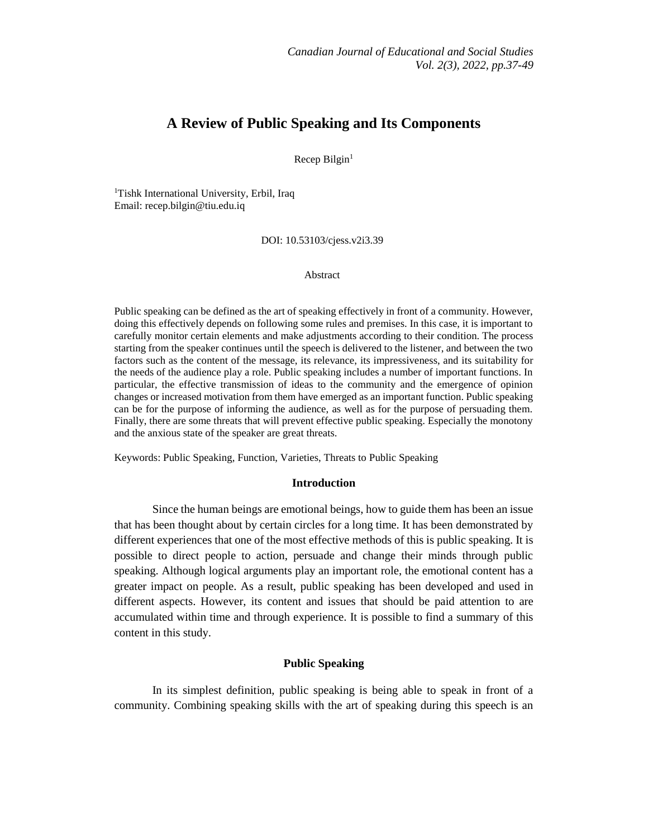# **A Review of Public Speaking and Its Components**

Recep Bilgin<sup>1</sup>

<sup>1</sup>Tishk International University, Erbil, Iraq Email: [recep.bilgin@tiu.edu.iq](mailto:recep.bilgin@tiu.edu.iq)

DOI: 10.53103/cjess.v2i3.39

#### Abstract

Public speaking can be defined as the art of speaking effectively in front of a community. However, doing this effectively depends on following some rules and premises. In this case, it is important to carefully monitor certain elements and make adjustments according to their condition. The process starting from the speaker continues until the speech is delivered to the listener, and between the two factors such as the content of the message, its relevance, its impressiveness, and its suitability for the needs of the audience play a role. Public speaking includes a number of important functions. In particular, the effective transmission of ideas to the community and the emergence of opinion changes or increased motivation from them have emerged as an important function. Public speaking can be for the purpose of informing the audience, as well as for the purpose of persuading them. Finally, there are some threats that will prevent effective public speaking. Especially the monotony and the anxious state of the speaker are great threats.

Keywords: Public Speaking, Function, Varieties, Threats to Public Speaking

#### **Introduction**

Since the human beings are emotional beings, how to guide them has been an issue that has been thought about by certain circles for a long time. It has been demonstrated by different experiences that one of the most effective methods of this is public speaking. It is possible to direct people to action, persuade and change their minds through public speaking. Although logical arguments play an important role, the emotional content has a greater impact on people. As a result, public speaking has been developed and used in different aspects. However, its content and issues that should be paid attention to are accumulated within time and through experience. It is possible to find a summary of this content in this study.

## **Public Speaking**

In its simplest definition, public speaking is being able to speak in front of a community. Combining speaking skills with the art of speaking during this speech is an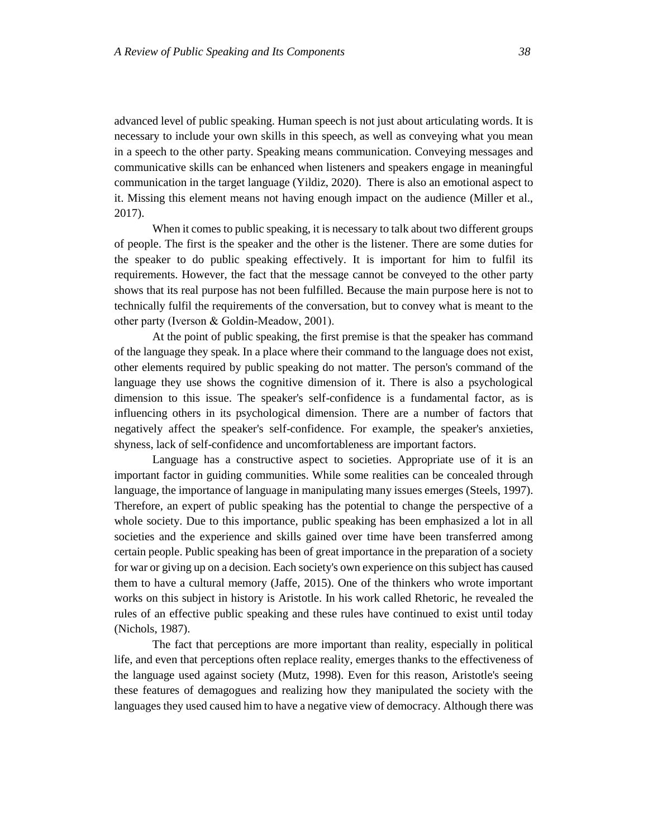advanced level of public speaking. Human speech is not just about articulating words. It is necessary to include your own skills in this speech, as well as conveying what you mean in a speech to the other party. Speaking means communication. Conveying messages and communicative skills can be enhanced when listeners and speakers engage in meaningful communication in the target language (Yildiz, 2020). There is also an emotional aspect to it. Missing this element means not having enough impact on the audience (Miller et al., 2017).

When it comes to public speaking, it is necessary to talk about two different groups of people. The first is the speaker and the other is the listener. There are some duties for the speaker to do public speaking effectively. It is important for him to fulfil its requirements. However, the fact that the message cannot be conveyed to the other party shows that its real purpose has not been fulfilled. Because the main purpose here is not to technically fulfil the requirements of the conversation, but to convey what is meant to the other party (Iverson & Goldin‐Meadow, 2001).

At the point of public speaking, the first premise is that the speaker has command of the language they speak. In a place where their command to the language does not exist, other elements required by public speaking do not matter. The person's command of the language they use shows the cognitive dimension of it. There is also a psychological dimension to this issue. The speaker's self-confidence is a fundamental factor, as is influencing others in its psychological dimension. There are a number of factors that negatively affect the speaker's self-confidence. For example, the speaker's anxieties, shyness, lack of self-confidence and uncomfortableness are important factors.

Language has a constructive aspect to societies. Appropriate use of it is an important factor in guiding communities. While some realities can be concealed through language, the importance of language in manipulating many issues emerges (Steels, 1997). Therefore, an expert of public speaking has the potential to change the perspective of a whole society. Due to this importance, public speaking has been emphasized a lot in all societies and the experience and skills gained over time have been transferred among certain people. Public speaking has been of great importance in the preparation of a society for war or giving up on a decision. Each society's own experience on this subject has caused them to have a cultural memory (Jaffe, 2015). One of the thinkers who wrote important works on this subject in history is Aristotle. In his work called Rhetoric, he revealed the rules of an effective public speaking and these rules have continued to exist until today (Nichols, 1987).

The fact that perceptions are more important than reality, especially in political life, and even that perceptions often replace reality, emerges thanks to the effectiveness of the language used against society (Mutz, 1998). Even for this reason, Aristotle's seeing these features of demagogues and realizing how they manipulated the society with the languages they used caused him to have a negative view of democracy. Although there was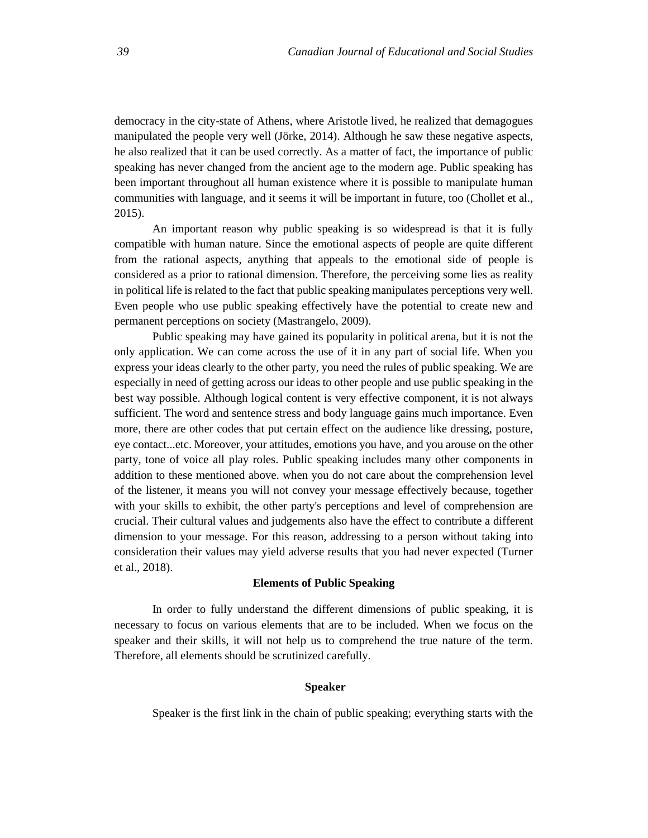democracy in the city-state of Athens, where Aristotle lived, he realized that demagogues manipulated the people very well (Jörke, 2014). Although he saw these negative aspects, he also realized that it can be used correctly. As a matter of fact, the importance of public speaking has never changed from the ancient age to the modern age. Public speaking has been important throughout all human existence where it is possible to manipulate human communities with language, and it seems it will be important in future, too (Chollet et al., 2015).

An important reason why public speaking is so widespread is that it is fully compatible with human nature. Since the emotional aspects of people are quite different from the rational aspects, anything that appeals to the emotional side of people is considered as a prior to rational dimension. Therefore, the perceiving some lies as reality in political life is related to the fact that public speaking manipulates perceptions very well. Even people who use public speaking effectively have the potential to create new and permanent perceptions on society (Mastrangelo, 2009).

Public speaking may have gained its popularity in political arena, but it is not the only application. We can come across the use of it in any part of social life. When you express your ideas clearly to the other party, you need the rules of public speaking. We are especially in need of getting across our ideas to other people and use public speaking in the best way possible. Although logical content is very effective component, it is not always sufficient. The word and sentence stress and body language gains much importance. Even more, there are other codes that put certain effect on the audience like dressing, posture, eye contact...etc. Moreover, your attitudes, emotions you have, and you arouse on the other party, tone of voice all play roles. Public speaking includes many other components in addition to these mentioned above. when you do not care about the comprehension level of the listener, it means you will not convey your message effectively because, together with your skills to exhibit, the other party's perceptions and level of comprehension are crucial. Their cultural values and judgements also have the effect to contribute a different dimension to your message. For this reason, addressing to a person without taking into consideration their values may yield adverse results that you had never expected (Turner et al., 2018).

## **Elements of Public Speaking**

In order to fully understand the different dimensions of public speaking, it is necessary to focus on various elements that are to be included. When we focus on the speaker and their skills, it will not help us to comprehend the true nature of the term. Therefore, all elements should be scrutinized carefully.

## **Speaker**

Speaker is the first link in the chain of public speaking; everything starts with the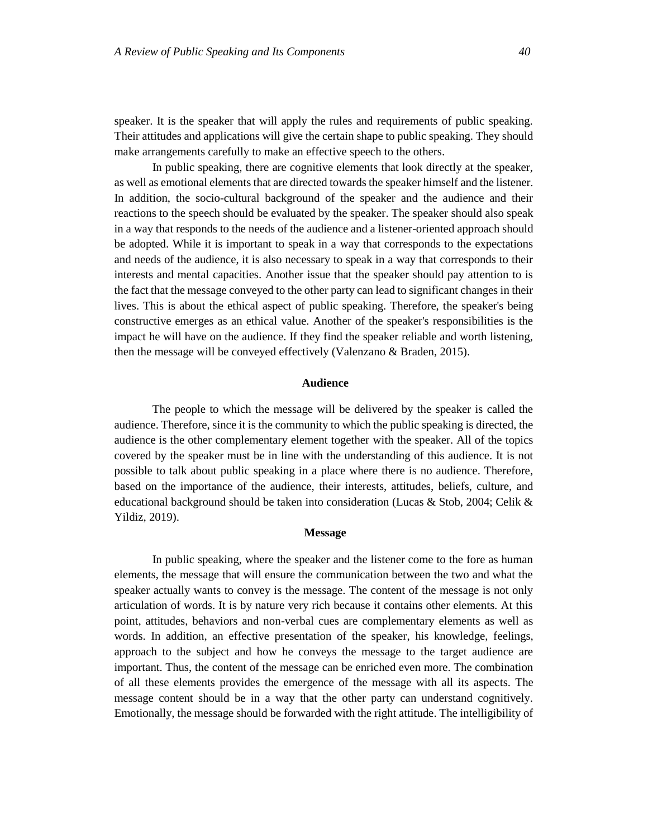speaker. It is the speaker that will apply the rules and requirements of public speaking. Their attitudes and applications will give the certain shape to public speaking. They should make arrangements carefully to make an effective speech to the others.

In public speaking, there are cognitive elements that look directly at the speaker, as well as emotional elements that are directed towards the speaker himself and the listener. In addition, the socio-cultural background of the speaker and the audience and their reactions to the speech should be evaluated by the speaker. The speaker should also speak in a way that responds to the needs of the audience and a listener-oriented approach should be adopted. While it is important to speak in a way that corresponds to the expectations and needs of the audience, it is also necessary to speak in a way that corresponds to their interests and mental capacities. Another issue that the speaker should pay attention to is the fact that the message conveyed to the other party can lead to significant changes in their lives. This is about the ethical aspect of public speaking. Therefore, the speaker's being constructive emerges as an ethical value. Another of the speaker's responsibilities is the impact he will have on the audience. If they find the speaker reliable and worth listening, then the message will be conveyed effectively (Valenzano & Braden, 2015).

## **Audience**

The people to which the message will be delivered by the speaker is called the audience. Therefore, since it is the community to which the public speaking is directed, the audience is the other complementary element together with the speaker. All of the topics covered by the speaker must be in line with the understanding of this audience. It is not possible to talk about public speaking in a place where there is no audience. Therefore, based on the importance of the audience, their interests, attitudes, beliefs, culture, and educational background should be taken into consideration (Lucas & Stob, 2004; Celik & Yildiz, 2019).

#### **Message**

In public speaking, where the speaker and the listener come to the fore as human elements, the message that will ensure the communication between the two and what the speaker actually wants to convey is the message. The content of the message is not only articulation of words. It is by nature very rich because it contains other elements. At this point, attitudes, behaviors and non-verbal cues are complementary elements as well as words. In addition, an effective presentation of the speaker, his knowledge, feelings, approach to the subject and how he conveys the message to the target audience are important. Thus, the content of the message can be enriched even more. The combination of all these elements provides the emergence of the message with all its aspects. The message content should be in a way that the other party can understand cognitively. Emotionally, the message should be forwarded with the right attitude. The intelligibility of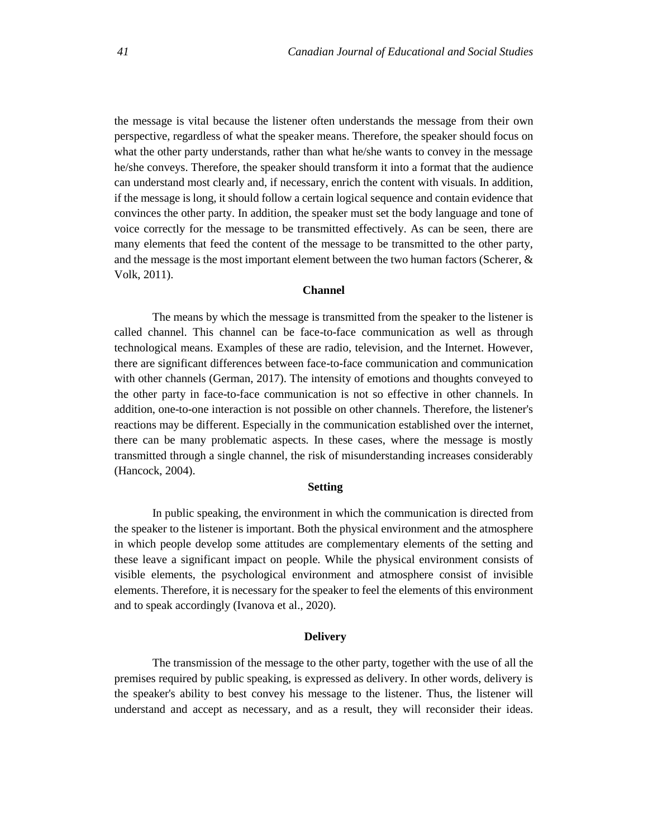the message is vital because the listener often understands the message from their own perspective, regardless of what the speaker means. Therefore, the speaker should focus on what the other party understands, rather than what he/she wants to convey in the message he/she conveys. Therefore, the speaker should transform it into a format that the audience can understand most clearly and, if necessary, enrich the content with visuals. In addition, if the message is long, it should follow a certain logical sequence and contain evidence that convinces the other party. In addition, the speaker must set the body language and tone of voice correctly for the message to be transmitted effectively. As can be seen, there are many elements that feed the content of the message to be transmitted to the other party, and the message is the most important element between the two human factors (Scherer,  $\&$ Volk, 2011).

## **Channel**

The means by which the message is transmitted from the speaker to the listener is called channel. This channel can be face-to-face communication as well as through technological means. Examples of these are radio, television, and the Internet. However, there are significant differences between face-to-face communication and communication with other channels (German, 2017). The intensity of emotions and thoughts conveyed to the other party in face-to-face communication is not so effective in other channels. In addition, one-to-one interaction is not possible on other channels. Therefore, the listener's reactions may be different. Especially in the communication established over the internet, there can be many problematic aspects. In these cases, where the message is mostly transmitted through a single channel, the risk of misunderstanding increases considerably (Hancock, 2004).

#### **Setting**

In public speaking, the environment in which the communication is directed from the speaker to the listener is important. Both the physical environment and the atmosphere in which people develop some attitudes are complementary elements of the setting and these leave a significant impact on people. While the physical environment consists of visible elements, the psychological environment and atmosphere consist of invisible elements. Therefore, it is necessary for the speaker to feel the elements of this environment and to speak accordingly (Ivanova et al., 2020).

#### **Delivery**

The transmission of the message to the other party, together with the use of all the premises required by public speaking, is expressed as delivery. In other words, delivery is the speaker's ability to best convey his message to the listener. Thus, the listener will understand and accept as necessary, and as a result, they will reconsider their ideas.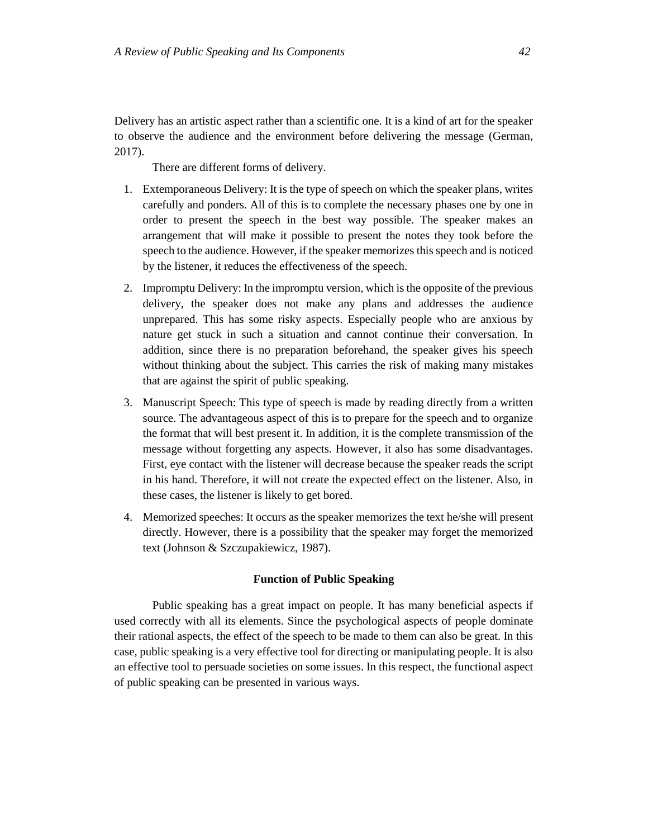Delivery has an artistic aspect rather than a scientific one. It is a kind of art for the speaker to observe the audience and the environment before delivering the message (German, 2017).

There are different forms of delivery.

- 1. Extemporaneous Delivery: It is the type of speech on which the speaker plans, writes carefully and ponders. All of this is to complete the necessary phases one by one in order to present the speech in the best way possible. The speaker makes an arrangement that will make it possible to present the notes they took before the speech to the audience. However, if the speaker memorizes this speech and is noticed by the listener, it reduces the effectiveness of the speech.
- 2. Impromptu Delivery: In the impromptu version, which is the opposite of the previous delivery, the speaker does not make any plans and addresses the audience unprepared. This has some risky aspects. Especially people who are anxious by nature get stuck in such a situation and cannot continue their conversation. In addition, since there is no preparation beforehand, the speaker gives his speech without thinking about the subject. This carries the risk of making many mistakes that are against the spirit of public speaking.
- 3. Manuscript Speech: This type of speech is made by reading directly from a written source. The advantageous aspect of this is to prepare for the speech and to organize the format that will best present it. In addition, it is the complete transmission of the message without forgetting any aspects. However, it also has some disadvantages. First, eye contact with the listener will decrease because the speaker reads the script in his hand. Therefore, it will not create the expected effect on the listener. Also, in these cases, the listener is likely to get bored.
- 4. Memorized speeches: It occurs as the speaker memorizes the text he/she will present directly. However, there is a possibility that the speaker may forget the memorized text (Johnson & Szczupakiewicz, 1987).

## **Function of Public Speaking**

Public speaking has a great impact on people. It has many beneficial aspects if used correctly with all its elements. Since the psychological aspects of people dominate their rational aspects, the effect of the speech to be made to them can also be great. In this case, public speaking is a very effective tool for directing or manipulating people. It is also an effective tool to persuade societies on some issues. In this respect, the functional aspect of public speaking can be presented in various ways.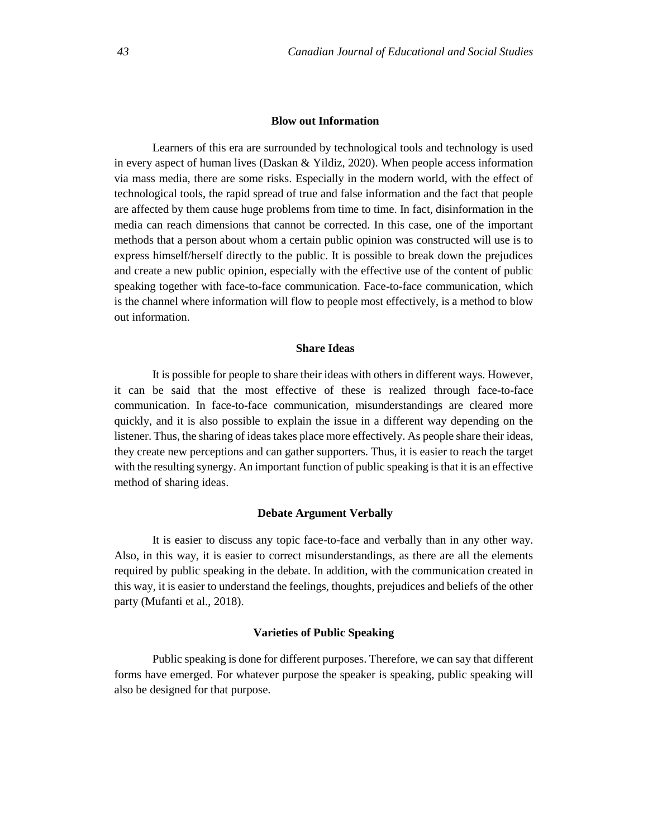## **Blow out Information**

Learners of this era are surrounded by technological tools and technology is used in every aspect of human lives (Daskan & Yildiz, 2020). When people access information via mass media, there are some risks. Especially in the modern world, with the effect of technological tools, the rapid spread of true and false information and the fact that people are affected by them cause huge problems from time to time. In fact, disinformation in the media can reach dimensions that cannot be corrected. In this case, one of the important methods that a person about whom a certain public opinion was constructed will use is to express himself/herself directly to the public. It is possible to break down the prejudices and create a new public opinion, especially with the effective use of the content of public speaking together with face-to-face communication. Face-to-face communication, which is the channel where information will flow to people most effectively, is a method to blow out information.

## **Share Ideas**

It is possible for people to share their ideas with others in different ways. However, it can be said that the most effective of these is realized through face-to-face communication. In face-to-face communication, misunderstandings are cleared more quickly, and it is also possible to explain the issue in a different way depending on the listener. Thus, the sharing of ideas takes place more effectively. As people share their ideas, they create new perceptions and can gather supporters. Thus, it is easier to reach the target with the resulting synergy. An important function of public speaking is that it is an effective method of sharing ideas.

#### **Debate Argument Verbally**

It is easier to discuss any topic face-to-face and verbally than in any other way. Also, in this way, it is easier to correct misunderstandings, as there are all the elements required by public speaking in the debate. In addition, with the communication created in this way, it is easier to understand the feelings, thoughts, prejudices and beliefs of the other party (Mufanti et al., 2018).

### **Varieties of Public Speaking**

Public speaking is done for different purposes. Therefore, we can say that different forms have emerged. For whatever purpose the speaker is speaking, public speaking will also be designed for that purpose.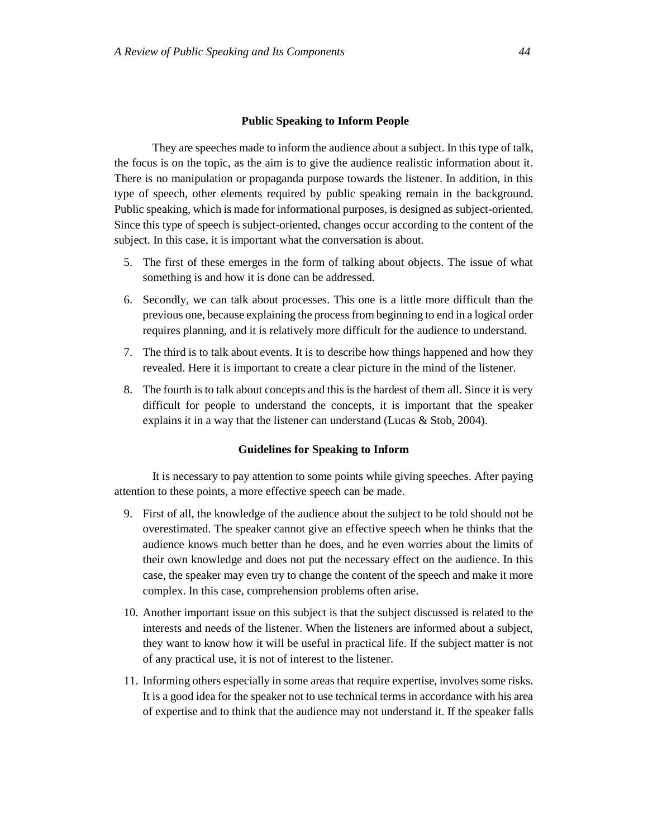#### **Public Speaking to Inform People**

They are speeches made to inform the audience about a subject. In this type of talk, the focus is on the topic, as the aim is to give the audience realistic information about it. There is no manipulation or propaganda purpose towards the listener. In addition, in this type of speech, other elements required by public speaking remain in the background. Public speaking, which is made for informational purposes, is designed as subject-oriented. Since this type of speech is subject-oriented, changes occur according to the content of the subject. In this case, it is important what the conversation is about.

- 5. The first of these emerges in the form of talking about objects. The issue of what something is and how it is done can be addressed.
- 6. Secondly, we can talk about processes. This one is a little more difficult than the previous one, because explaining the process from beginning to end in a logical order requires planning, and it is relatively more difficult for the audience to understand.
- 7. The third is to talk about events. It is to describe how things happened and how they revealed. Here it is important to create a clear picture in the mind of the listener.
- 8. The fourth is to talk about concepts and this is the hardest of them all. Since it is very difficult for people to understand the concepts, it is important that the speaker explains it in a way that the listener can understand (Lucas & Stob, 2004).

### **Guidelines for Speaking to Inform**

It is necessary to pay attention to some points while giving speeches. After paying attention to these points, a more effective speech can be made.

- 9. First of all, the knowledge of the audience about the subject to be told should not be overestimated. The speaker cannot give an effective speech when he thinks that the audience knows much better than he does, and he even worries about the limits of their own knowledge and does not put the necessary effect on the audience. In this case, the speaker may even try to change the content of the speech and make it more complex. In this case, comprehension problems often arise.
- 10. Another important issue on this subject is that the subject discussed is related to the interests and needs of the listener. When the listeners are informed about a subject, they want to know how it will be useful in practical life. If the subject matter is not of any practical use, it is not of interest to the listener.
- 11. Informing others especially in some areas that require expertise, involves some risks. It is a good idea for the speaker not to use technical terms in accordance with his area of expertise and to think that the audience may not understand it. If the speaker falls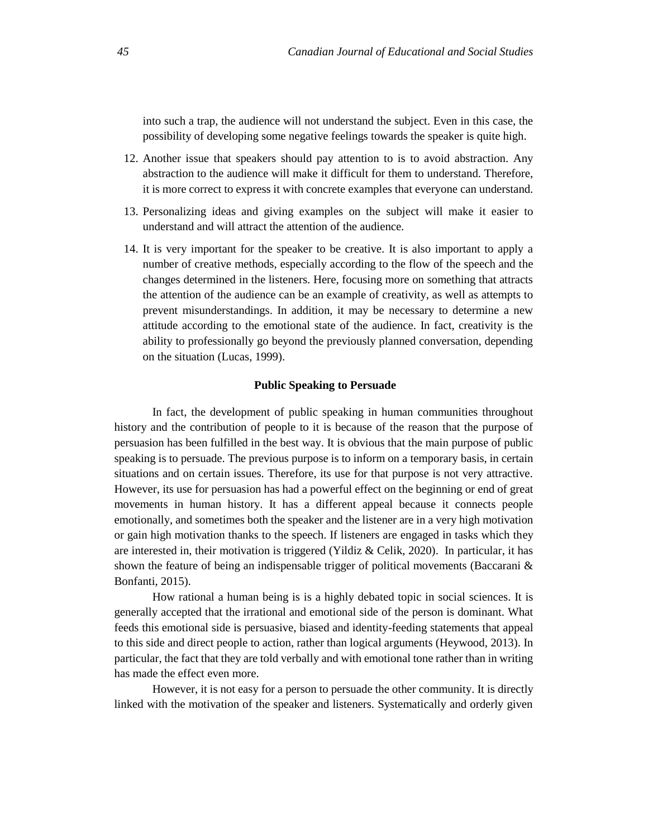into such a trap, the audience will not understand the subject. Even in this case, the possibility of developing some negative feelings towards the speaker is quite high.

- 12. Another issue that speakers should pay attention to is to avoid abstraction. Any abstraction to the audience will make it difficult for them to understand. Therefore, it is more correct to express it with concrete examples that everyone can understand.
- 13. Personalizing ideas and giving examples on the subject will make it easier to understand and will attract the attention of the audience.
- 14. It is very important for the speaker to be creative. It is also important to apply a number of creative methods, especially according to the flow of the speech and the changes determined in the listeners. Here, focusing more on something that attracts the attention of the audience can be an example of creativity, as well as attempts to prevent misunderstandings. In addition, it may be necessary to determine a new attitude according to the emotional state of the audience. In fact, creativity is the ability to professionally go beyond the previously planned conversation, depending on the situation (Lucas, 1999).

#### **Public Speaking to Persuade**

In fact, the development of public speaking in human communities throughout history and the contribution of people to it is because of the reason that the purpose of persuasion has been fulfilled in the best way. It is obvious that the main purpose of public speaking is to persuade. The previous purpose is to inform on a temporary basis, in certain situations and on certain issues. Therefore, its use for that purpose is not very attractive. However, its use for persuasion has had a powerful effect on the beginning or end of great movements in human history. It has a different appeal because it connects people emotionally, and sometimes both the speaker and the listener are in a very high motivation or gain high motivation thanks to the speech. If listeners are engaged in tasks which they are interested in, their motivation is triggered (Yildiz & Celik, 2020). In particular, it has shown the feature of being an indispensable trigger of political movements (Baccarani & Bonfanti, 2015).

How rational a human being is is a highly debated topic in social sciences. It is generally accepted that the irrational and emotional side of the person is dominant. What feeds this emotional side is persuasive, biased and identity-feeding statements that appeal to this side and direct people to action, rather than logical arguments (Heywood, 2013). In particular, the fact that they are told verbally and with emotional tone rather than in writing has made the effect even more.

However, it is not easy for a person to persuade the other community. It is directly linked with the motivation of the speaker and listeners. Systematically and orderly given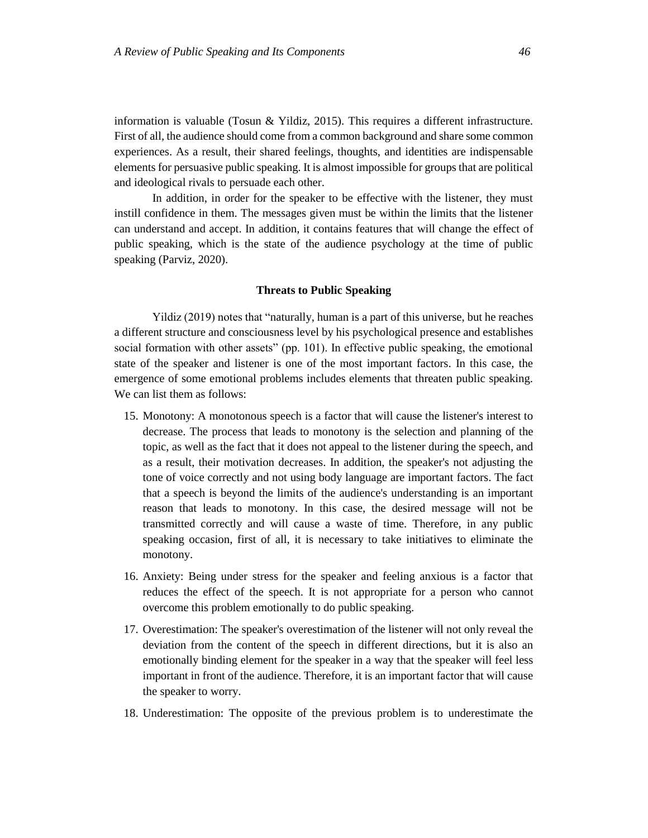information is valuable (Tosun & Yildiz, 2015). This requires a different infrastructure. First of all, the audience should come from a common background and share some common experiences. As a result, their shared feelings, thoughts, and identities are indispensable elements for persuasive public speaking. It is almost impossible for groups that are political and ideological rivals to persuade each other.

In addition, in order for the speaker to be effective with the listener, they must instill confidence in them. The messages given must be within the limits that the listener can understand and accept. In addition, it contains features that will change the effect of public speaking, which is the state of the audience psychology at the time of public speaking (Parviz, 2020).

## **Threats to Public Speaking**

Yildiz (2019) notes that "naturally, human is a part of this universe, but he reaches a different structure and consciousness level by his psychological presence and establishes social formation with other assets" (pp. 101). In effective public speaking, the emotional state of the speaker and listener is one of the most important factors. In this case, the emergence of some emotional problems includes elements that threaten public speaking. We can list them as follows:

- 15. Monotony: A monotonous speech is a factor that will cause the listener's interest to decrease. The process that leads to monotony is the selection and planning of the topic, as well as the fact that it does not appeal to the listener during the speech, and as a result, their motivation decreases. In addition, the speaker's not adjusting the tone of voice correctly and not using body language are important factors. The fact that a speech is beyond the limits of the audience's understanding is an important reason that leads to monotony. In this case, the desired message will not be transmitted correctly and will cause a waste of time. Therefore, in any public speaking occasion, first of all, it is necessary to take initiatives to eliminate the monotony.
- 16. Anxiety: Being under stress for the speaker and feeling anxious is a factor that reduces the effect of the speech. It is not appropriate for a person who cannot overcome this problem emotionally to do public speaking.
- 17. Overestimation: The speaker's overestimation of the listener will not only reveal the deviation from the content of the speech in different directions, but it is also an emotionally binding element for the speaker in a way that the speaker will feel less important in front of the audience. Therefore, it is an important factor that will cause the speaker to worry.
- 18. Underestimation: The opposite of the previous problem is to underestimate the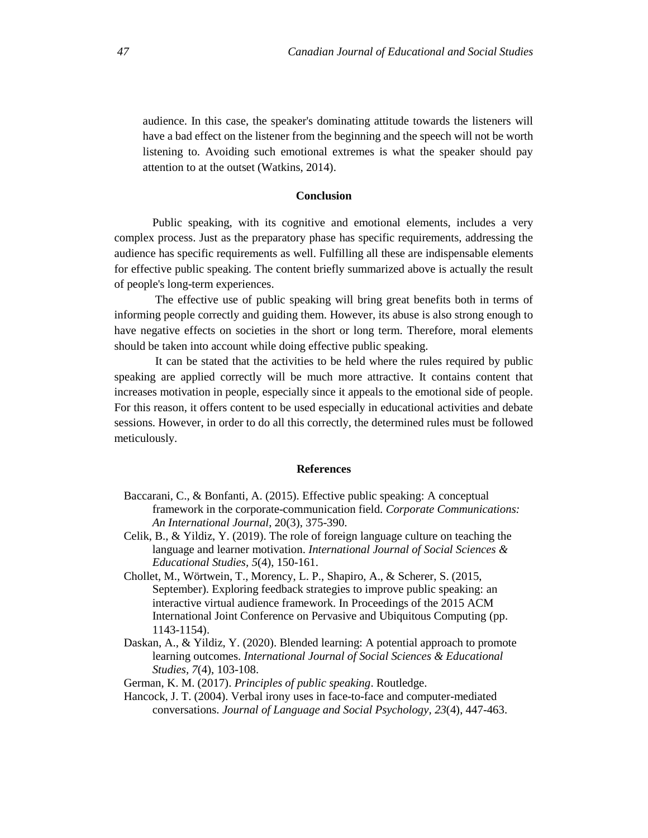audience. In this case, the speaker's dominating attitude towards the listeners will have a bad effect on the listener from the beginning and the speech will not be worth listening to. Avoiding such emotional extremes is what the speaker should pay attention to at the outset (Watkins, 2014).

#### **Conclusion**

Public speaking, with its cognitive and emotional elements, includes a very complex process. Just as the preparatory phase has specific requirements, addressing the audience has specific requirements as well. Fulfilling all these are indispensable elements for effective public speaking. The content briefly summarized above is actually the result of people's long-term experiences.

The effective use of public speaking will bring great benefits both in terms of informing people correctly and guiding them. However, its abuse is also strong enough to have negative effects on societies in the short or long term. Therefore, moral elements should be taken into account while doing effective public speaking.

It can be stated that the activities to be held where the rules required by public speaking are applied correctly will be much more attractive. It contains content that increases motivation in people, especially since it appeals to the emotional side of people. For this reason, it offers content to be used especially in educational activities and debate sessions. However, in order to do all this correctly, the determined rules must be followed meticulously.

#### **References**

- Baccarani, C., & Bonfanti, A. (2015). Effective public speaking: A conceptual framework in the corporate-communication field. *Corporate Communications: An International Journal*, 20(3), 375-390.
- Celik, B., & Yildiz, Y. (2019). The role of foreign language culture on teaching the language and learner motivation. *International Journal of Social Sciences & Educational Studies, 5*(4), 150-161.
- Chollet, M., Wörtwein, T., Morency, L. P., Shapiro, A., & Scherer, S. (2015, September). Exploring feedback strategies to improve public speaking: an interactive virtual audience framework. In Proceedings of the 2015 ACM International Joint Conference on Pervasive and Ubiquitous Computing (pp. 1143-1154).
- Daskan, A., & Yildiz, Y. (2020). Blended learning: A potential approach to promote learning outcomes. *International Journal of Social Sciences & Educational Studies, 7*(4), 103-108.
- German, K. M. (2017). *Principles of public speaking*. Routledge.
- Hancock, J. T. (2004). Verbal irony uses in face-to-face and computer-mediated conversations. *Journal of Language and Social Psychology, 23*(4), 447-463.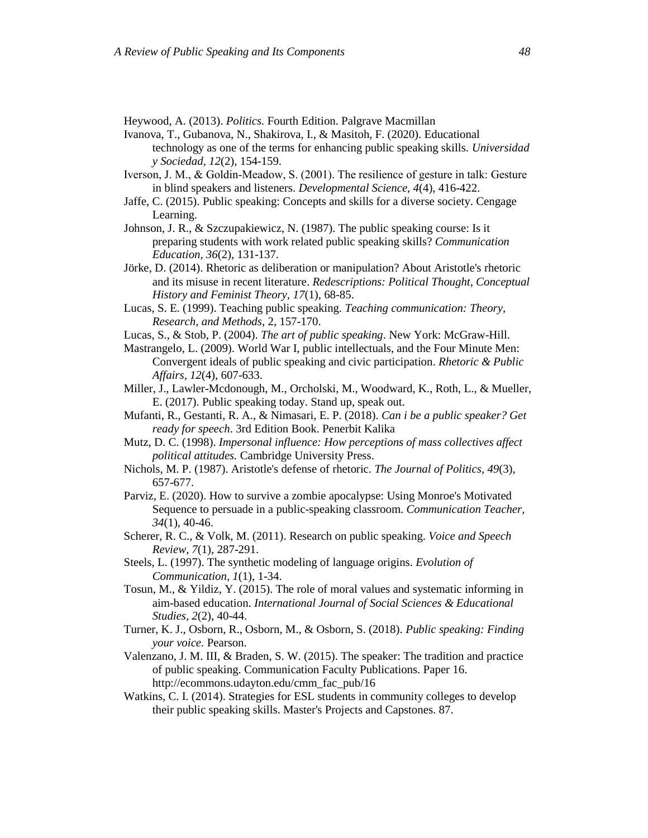Heywood, A. (2013). *Politics.* Fourth Edition. Palgrave Macmillan

- Ivanova, T., Gubanova, N., Shakirova, I., & Masitoh, F. (2020). Educational technology as one of the terms for enhancing public speaking skills. *Universidad y Sociedad, 12*(2), 154-159.
- Iverson, J. M., & Goldin‐Meadow, S. (2001). The resilience of gesture in talk: Gesture in blind speakers and listeners. *Developmental Science, 4*(4), 416-422.
- Jaffe, C. (2015). Public speaking: Concepts and skills for a diverse society. Cengage Learning.
- Johnson, J. R., & Szczupakiewicz, N. (1987). The public speaking course: Is it preparing students with work related public speaking skills? *Communication Education, 36*(2), 131-137.
- Jörke, D. (2014). Rhetoric as deliberation or manipulation? About Aristotle's rhetoric and its misuse in recent literature. *Redescriptions: Political Thought, Conceptual History and Feminist Theory, 17*(1), 68-85.
- Lucas, S. E. (1999). Teaching public speaking. *Teaching communication: Theory, Research, and Methods*, 2, 157-170.
- Lucas, S., & Stob, P. (2004). *The art of public speaking*. New York: McGraw-Hill.
- Mastrangelo, L. (2009). World War I, public intellectuals, and the Four Minute Men: Convergent ideals of public speaking and civic participation. *Rhetoric & Public Affairs, 12*(4), 607-633.
- Miller, J., Lawler-Mcdonough, M., Orcholski, M., Woodward, K., Roth, L., & Mueller, E. (2017). Public speaking today. Stand up, speak out.
- Mufanti, R., Gestanti, R. A., & Nimasari, E. P. (2018). *Can i be a public speaker? Get ready for speech*. 3rd Edition Book. Penerbit Kalika
- Mutz, D. C. (1998). *Impersonal influence: How perceptions of mass collectives affect political attitudes.* Cambridge University Press.
- Nichols, M. P. (1987). Aristotle's defense of rhetoric. *The Journal of Politics, 49*(3), 657-677.
- Parviz, E. (2020). How to survive a zombie apocalypse: Using Monroe's Motivated Sequence to persuade in a public-speaking classroom. *Communication Teacher, 34*(1), 40-46.
- Scherer, R. C., & Volk, M. (2011). Research on public speaking. *Voice and Speech Review, 7*(1), 287-291.
- Steels, L. (1997). The synthetic modeling of language origins. *Evolution of Communication, 1*(1), 1-34.
- Tosun, M., & Yildiz, Y. (2015). The role of moral values and systematic informing in aim-based education. *International Journal of Social Sciences & Educational Studies, 2*(2), 40-44.
- Turner, K. J., Osborn, R., Osborn, M., & Osborn, S. (2018). *Public speaking: Finding your voice.* Pearson.
- Valenzano, J. M. III, & Braden, S. W. (2015). The speaker: The tradition and practice of public speaking. Communication Faculty Publications. Paper 16. [http://ecommons.udayton.edu/cmm\\_fac\\_pub/16](http://ecommons.udayton.edu/cmm_fac_pub/16)
- Watkins, C. I. (2014). Strategies for ESL students in community colleges to develop their public speaking skills. Master's Projects and Capstones. 87.